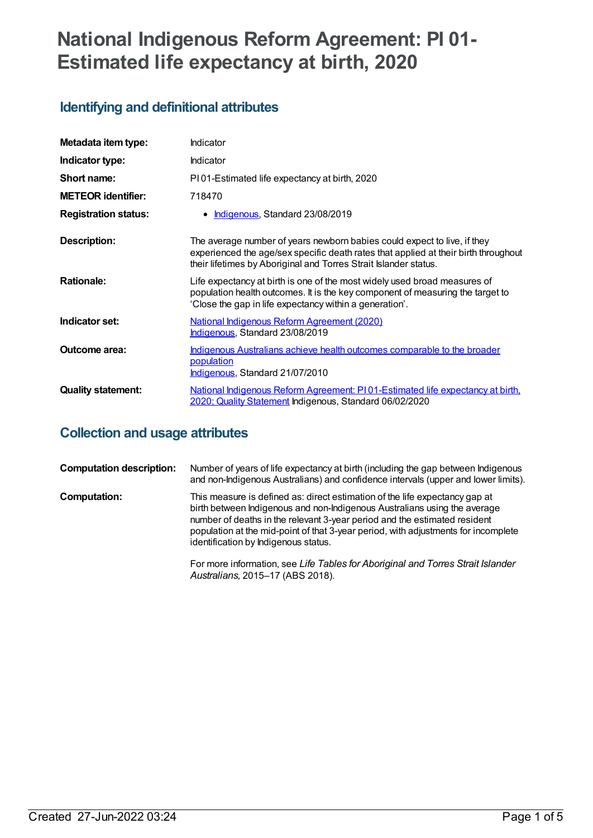# **National Indigenous Reform Agreement: PI 01- Estimated life expectancy at birth, 2020**

# **Identifying and definitional attributes**

| Metadata item type:         | Indicator                                                                                                                                                                                                                           |
|-----------------------------|-------------------------------------------------------------------------------------------------------------------------------------------------------------------------------------------------------------------------------------|
| Indicator type:             | <b>Indicator</b>                                                                                                                                                                                                                    |
| Short name:                 | PI01-Estimated life expectancy at birth, 2020                                                                                                                                                                                       |
| <b>METEOR identifier:</b>   | 718470                                                                                                                                                                                                                              |
| <b>Registration status:</b> | Indigenous, Standard 23/08/2019<br>٠                                                                                                                                                                                                |
| Description:                | The average number of years newborn babies could expect to live, if they<br>experienced the age/sex specific death rates that applied at their birth throughout<br>their lifetimes by Aboriginal and Torres Strait Islander status. |
| <b>Rationale:</b>           | Life expectancy at birth is one of the most widely used broad measures of<br>population health outcomes. It is the key component of measuring the target to<br>'Close the gap in life expectancy within a generation'.              |
| Indicator set:              | <b>National Indigenous Reform Agreement (2020)</b><br>Indigenous, Standard 23/08/2019                                                                                                                                               |
| Outcome area:               | Indigenous Australians achieve health outcomes comparable to the broader<br>population<br>Indigenous, Standard 21/07/2010                                                                                                           |
| <b>Quality statement:</b>   | National Indigenous Reform Agreement: PI01-Estimated life expectancy at birth.<br>2020; Quality Statement Indigenous, Standard 06/02/2020                                                                                           |

## **Collection and usage attributes**

| <b>Computation description:</b> | Number of years of life expectancy at birth (including the gap between Indigenous<br>and non-Indigenous Australians) and confidence intervals (upper and lower limits).                                                                                                                                                                                             |
|---------------------------------|---------------------------------------------------------------------------------------------------------------------------------------------------------------------------------------------------------------------------------------------------------------------------------------------------------------------------------------------------------------------|
| <b>Computation:</b>             | This measure is defined as: direct estimation of the life expectancy gap at<br>birth between Indigenous and non-Indigenous Australians using the average<br>number of deaths in the relevant 3-year period and the estimated resident<br>population at the mid-point of that 3-year period, with adjustments for incomplete<br>identification by Indigenous status. |
|                                 | For more information, see Life Tables for Aboriginal and Torres Strait Islander<br>Australians, 2015-17 (ABS 2018).                                                                                                                                                                                                                                                 |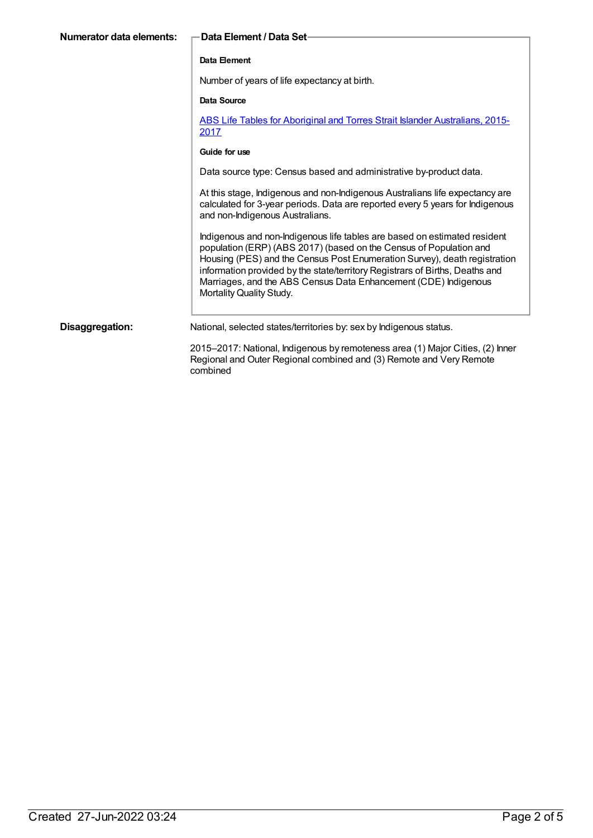| Numerator data elements:       —Data Element / Data Set∙ |              |
|----------------------------------------------------------|--------------|
|                                                          | Data Element |

Number of years of life expectancy at birth.

### **Data Source**

ABS Life Tables for Aboriginal and Torres Strait Islander [Australians,](https://meteor.aihw.gov.au/content/699979) 2015- 2017

#### **Guide for use**

Data source type: Census based and administrative by-product data.

At this stage, Indigenous and non-Indigenous Australians life expectancy are calculated for 3-year periods. Data are reported every 5 years for Indigenous and non-Indigenous Australians.

Indigenous and non-Indigenous life tables are based on estimated resident population (ERP) (ABS 2017) (based on the Census of Population and Housing (PES) and the Census Post Enumeration Survey), death registration information provided by the state/territory Registrars of Births, Deaths and Marriages, and the ABS Census Data Enhancement (CDE) Indigenous Mortality Quality Study.

**Disaggregation:** National, selected states/territories by: sex by Indigenous status.

2015–2017: National, Indigenous by remoteness area (1) Major Cities, (2) Inner Regional and Outer Regional combined and (3) Remote and Very Remote combined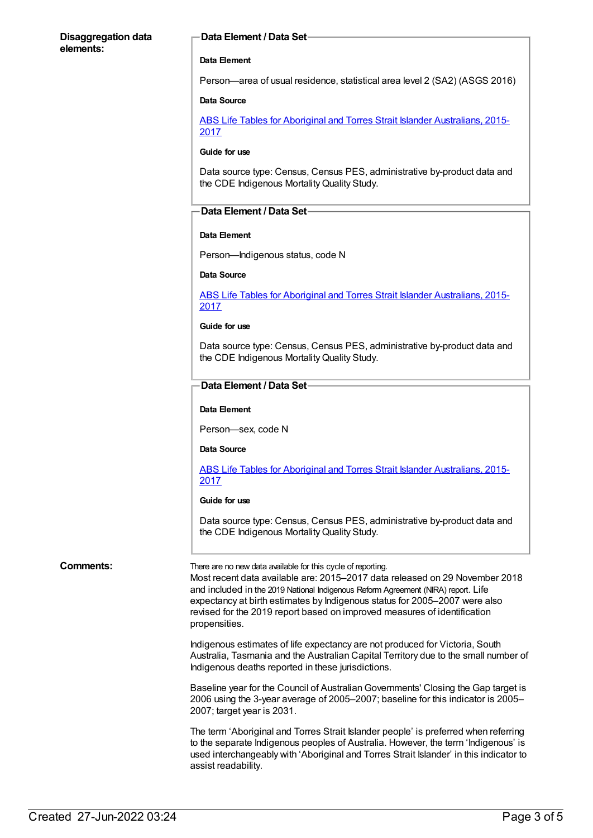### **Disaggregation data elements:**

### **Data Element / Data Set**

#### **Data Element**

Person—area of usual residence, statistical area level 2 (SA2) (ASGS 2016)

#### **Data Source**

ABS Life Tables for Aboriginal and Torres Strait Islander [Australians,](https://meteor.aihw.gov.au/content/699979) 2015- 2017

#### **Guide for use**

Data source type: Census, Census PES, administrative by-product data and the CDE Indigenous MortalityQuality Study.

### **Data Element / Data Set**

#### **Data Element**

Person—Indigenous status, code N

### **Data Source**

ABS Life Tables for Aboriginal and Torres Strait Islander [Australians,](https://meteor.aihw.gov.au/content/699979) 2015- 2017

#### **Guide for use**

Data source type: Census, Census PES, administrative by-product data and the CDE Indigenous MortalityQuality Study.

### **Data Element / Data Set**

### **Data Element**

Person—sex, code N

#### **Data Source**

ABS Life Tables for Aboriginal and Torres Strait Islander [Australians,](https://meteor.aihw.gov.au/content/699979) 2015- 2017

#### **Guide for use**

Data source type: Census, Census PES, administrative by-product data and the CDE Indigenous Mortality Quality Study.

**Comments:** There are no new data available for this cycle of reporting.

Most recent data available are: 2015–2017 data released on 29 November 2018 and included in the 2019 National Indigenous Reform Agreement (NIRA) report. Life expectancy at birth estimates by Indigenous status for 2005–2007 were also revised for the 2019 report based on improved measures of identification propensities.

Indigenous estimates of life expectancy are not produced for Victoria, South Australia, Tasmania and the Australian Capital Territory due to the small number of Indigenous deaths reported in these jurisdictions.

Baseline year for the Council of Australian Governments' Closing the Gap target is 2006 using the 3-year average of 2005–2007; baseline for this indicator is 2005– 2007; target year is 2031.

The term 'Aboriginal and Torres Strait Islander people' is preferred when referring to the separate Indigenous peoples of Australia. However, the term 'Indigenous' is used interchangeably with 'Aboriginal and Torres Strait Islander' in this indicator to assist readability.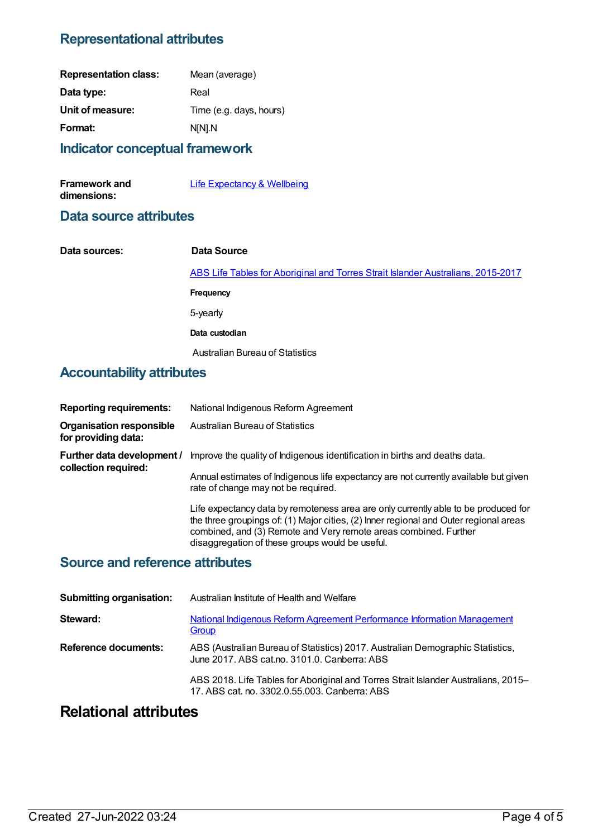# **Representational attributes**

| <b>Representation class:</b> | Mean (average)          |
|------------------------------|-------------------------|
| Data type:                   | Real                    |
| Unit of measure:             | Time (e.g. days, hours) |
| Format:                      | N[N].N                  |
|                              |                         |

### **Indicator conceptual framework**

| <b>Framework and</b> | Life Expectancy & Wellbeing |
|----------------------|-----------------------------|
| dimensions:          |                             |

### **Data source attributes**

| Data sources: | Data Source                                                                      |
|---------------|----------------------------------------------------------------------------------|
|               | ABS Life Tables for Aboriginal and Torres Strait Islander Australians, 2015-2017 |
|               | Frequency                                                                        |
|               | 5-yearly                                                                         |
|               | Data custodian                                                                   |
|               | Australian Bureau of Statistics                                                  |

# **Accountability attributes**

| <b>Reporting requirements:</b>                         | National Indigenous Reform Agreement                                                                                                                                                                                                                                                               |
|--------------------------------------------------------|----------------------------------------------------------------------------------------------------------------------------------------------------------------------------------------------------------------------------------------------------------------------------------------------------|
| <b>Organisation responsible</b><br>for providing data: | Australian Bureau of Statistics                                                                                                                                                                                                                                                                    |
| Further data development /<br>collection required:     | Improve the quality of Indigenous identification in births and deaths data.                                                                                                                                                                                                                        |
|                                                        | Annual estimates of Indigenous life expectancy are not currently available but given<br>rate of change may not be required.                                                                                                                                                                        |
|                                                        | Life expectancy data by remoteness area are only currently able to be produced for<br>the three groupings of: (1) Major cities, (2) Inner regional and Outer regional areas<br>combined, and (3) Remote and Very remote areas combined. Further<br>disaggregation of these groups would be useful. |
|                                                        |                                                                                                                                                                                                                                                                                                    |

### **Source and reference attributes**

| <b>Submitting organisation:</b> | Australian Institute of Health and Welfare                                                                                          |
|---------------------------------|-------------------------------------------------------------------------------------------------------------------------------------|
| Steward:                        | National Indigenous Reform Agreement Performance Information Management<br>Group                                                    |
| Reference documents:            | ABS (Australian Bureau of Statistics) 2017. Australian Demographic Statistics,<br>June 2017. ABS cat.no. 3101.0. Canberra: ABS      |
|                                 | ABS 2018. Life Tables for Aboriginal and Torres Strait Islander Australians, 2015–<br>17. ABS cat. no. 3302.0.55.003. Canberra: ABS |

# **Relational attributes**